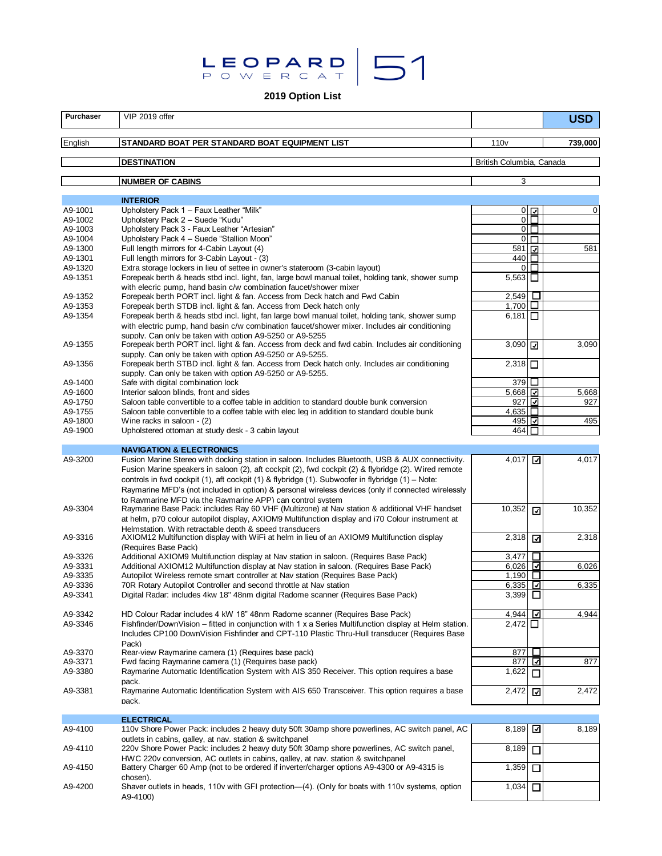# LEOPARD 51

**2019 Option List**

| <b>Purchaser</b>   | VIP 2019 offer                                                                                                                                                                                                                                                                                                                                                                                                     |                              |                           | <b>USD</b>  |  |
|--------------------|--------------------------------------------------------------------------------------------------------------------------------------------------------------------------------------------------------------------------------------------------------------------------------------------------------------------------------------------------------------------------------------------------------------------|------------------------------|---------------------------|-------------|--|
| English            | STANDARD BOAT PER STANDARD BOAT EQUIPMENT LIST                                                                                                                                                                                                                                                                                                                                                                     | 110 <sub>v</sub>             |                           | 739,000     |  |
|                    | <b>DESTINATION</b>                                                                                                                                                                                                                                                                                                                                                                                                 | British Columbia, Canada     |                           |             |  |
|                    | <b>NUMBER OF CABINS</b>                                                                                                                                                                                                                                                                                                                                                                                            | 3                            |                           |             |  |
|                    | <b>INTERIOR</b>                                                                                                                                                                                                                                                                                                                                                                                                    |                              |                           |             |  |
| A9-1001            | Upholstery Pack 1 - Faux Leather "Milk"                                                                                                                                                                                                                                                                                                                                                                            |                              | $0\sqrt{ }$               | $\mathbf 0$ |  |
| A9-1002            | Upholstery Pack 2 - Suede "Kudu"                                                                                                                                                                                                                                                                                                                                                                                   |                              | $0\mathsf{I}\mathsf{\Pi}$ |             |  |
| A9-1003<br>A9-1004 | Upholstery Pack 3 - Faux Leather "Artesian"<br>Upholstery Pack 4 - Suede "Stallion Moon"                                                                                                                                                                                                                                                                                                                           |                              | $0\Box$<br>$0\Box$        |             |  |
| A9-1300            | Full length mirrors for 4-Cabin Layout (4)                                                                                                                                                                                                                                                                                                                                                                         | 58117                        |                           | 581         |  |
| A9-1301            | Full length mirrors for 3-Cabin Layout - (3)                                                                                                                                                                                                                                                                                                                                                                       | 440 □                        |                           |             |  |
| A9-1320            | Extra storage lockers in lieu of settee in owner's stateroom (3-cabin layout)                                                                                                                                                                                                                                                                                                                                      |                              | $0\Box$                   |             |  |
| A9-1351            | Forepeak berth & heads stbd incl. light, fan, large bowl manual toilet, holding tank, shower sump<br>with elecric pump, hand basin c/w combination faucet/shower mixer                                                                                                                                                                                                                                             | $5,563$ $\Box$               |                           |             |  |
| A9-1352            | Forepeak berth PORT incl. light & fan. Access from Deck hatch and Fwd Cabin                                                                                                                                                                                                                                                                                                                                        | $2,549$ $\Box$               |                           |             |  |
| A9-1353            | Forepeak berth STDB incl. light & fan. Access from Deck hatch only                                                                                                                                                                                                                                                                                                                                                 | 1,700 $\Box$                 |                           |             |  |
| A9-1354            | Forepeak berth & heads stbd incl. light, fan large bowl manual toilet, holding tank, shower sump<br>with electric pump, hand basin c/w combination faucet/shower mixer. Includes air conditioning<br>supply. Can only be taken with option A9-5250 or A9-5255                                                                                                                                                      | $6,181$ $\Box$               |                           |             |  |
| A9-1355            | Forepeak berth PORT incl. light & fan. Access from deck and fwd cabin. Includes air conditioning<br>supply. Can only be taken with option A9-5250 or A9-5255.                                                                                                                                                                                                                                                      | 3,090 $\sqrt{7}$             |                           | 3,090       |  |
| A9-1356            | Forepeak berth STBD incl. light & fan. Access from Deck hatch only. Includes air conditioning<br>supply. Can only be taken with option A9-5250 or A9-5255.                                                                                                                                                                                                                                                         | $2,318$ $\Pi$                |                           |             |  |
| A9-1400            | Safe with digital combination lock                                                                                                                                                                                                                                                                                                                                                                                 | 379 LJ                       |                           |             |  |
| A9-1600<br>A9-1750 | Interior saloon blinds, front and sides                                                                                                                                                                                                                                                                                                                                                                            | 5,668                        |                           | 5,668       |  |
| A9-1755            | Saloon table convertible to a coffee table in addition to standard double bunk conversion<br>Saloon table convertible to a coffee table with elec leg in addition to standard double bunk                                                                                                                                                                                                                          | 927 ⊽<br>$4,635$ $\Box$      |                           | 927         |  |
| A9-1800            | Wine racks in saloon - (2)                                                                                                                                                                                                                                                                                                                                                                                         | 495 ⊡                        |                           | 495         |  |
| A9-1900            | Upholstered ottoman at study desk - 3 cabin layout                                                                                                                                                                                                                                                                                                                                                                 | 464                          |                           |             |  |
|                    | <b>NAVIGATION &amp; ELECTRONICS</b>                                                                                                                                                                                                                                                                                                                                                                                |                              |                           |             |  |
| A9-3200            | Fusion Marine Stereo with docking station in saloon. Includes Bluetooth, USB & AUX connectivity.<br>Fusion Marine speakers in saloon (2), aft cockpit (2), fwd cockpit (2) & flybridge (2). Wired remote<br>controls in fwd cockpit (1), aft cockpit (1) & flybridge (1). Subwoofer in flybridge (1) - Note:<br>Raymarine MFD's (not included in option) & personal wireless devices (only if connected wirelessly | 4,017                        | ⊡                         | 4,017       |  |
| A9-3304            | to Raymarine MFD via the Raymarine APP) can control system<br>Raymarine Base Pack: includes Ray 60 VHF (Multizone) at Nav station & additional VHF handset<br>at helm, p70 colour autopilot display, AXIOM9 Multifunction display and i70 Colour instrument at<br>Helmstation. With retractable depth & speed transducers                                                                                          | 10,352                       | ☑                         | 10,352      |  |
| A9-3316            | AXIOM12 Multifunction display with WiFi at helm in lieu of an AXIOM9 Multifunction display<br>(Requires Base Pack)                                                                                                                                                                                                                                                                                                 | 2,318                        | ⊡                         | 2,318       |  |
| A9-3326            | Additional AXIOM9 Multifunction display at Nav station in saloon. (Requires Base Pack)                                                                                                                                                                                                                                                                                                                             | $3,477$ $\Box$               |                           |             |  |
| A9-3331<br>A9-3335 | Additional AXIOM12 Multifunction display at Nav station in saloon. (Requires Base Pack)<br>Autopilot Wireless remote smart controller at Nav station (Requires Base Pack)                                                                                                                                                                                                                                          | 6,026 $\Box$<br>1,190 $\Box$ |                           | 6,026       |  |
| A9-3336            | 70R Rotary Autopilot Controller and second throttle at Nav station                                                                                                                                                                                                                                                                                                                                                 | $6,335$ $\Box$               |                           | 6,335       |  |
| A9-3341            | Digital Radar: includes 4kw 18" 48nm digital Radome scanner (Requires Base Pack)                                                                                                                                                                                                                                                                                                                                   | 3,399 $\Box$                 |                           |             |  |
| A9-3342            | HD Colour Radar includes 4 kW 18" 48nm Radome scanner (Requires Base Pack)                                                                                                                                                                                                                                                                                                                                         | 4,944 $\boxed{2}$            |                           | 4,944       |  |
| A9-3346            | Fishfinder/DownVision – fitted in conjunction with 1 x a Series Multifunction display at Helm station.<br>Includes CP100 DownVision Fishfinder and CPT-110 Plastic Thru-Hull transducer (Requires Base<br>Pack)                                                                                                                                                                                                    | $2,472$ $\Box$               |                           |             |  |
| A9-3370            | Rear-view Raymarine camera (1) (Requires base pack)                                                                                                                                                                                                                                                                                                                                                                | 877                          | □                         |             |  |
| A9-3371            | Fwd facing Raymarine camera (1) (Requires base pack)                                                                                                                                                                                                                                                                                                                                                               | 877                          | ☑                         | 877         |  |
| A9-3380            | Raymarine Automatic Identification System with AIS 350 Receiver. This option requires a base<br>pack.                                                                                                                                                                                                                                                                                                              | 1,622                        | П                         |             |  |
| A9-3381            | Raymarine Automatic Identification System with AIS 650 Transceiver. This option requires a base<br>pack.                                                                                                                                                                                                                                                                                                           | 2,472                        | ⊡                         | 2,472       |  |
|                    | <b>ELECTRICAL</b>                                                                                                                                                                                                                                                                                                                                                                                                  |                              |                           |             |  |
| A9-4100            | 110 Shore Power Pack: includes 2 heavy duty 50ft 30amp shore powerlines, AC switch panel, AC<br>outlets in cabins, galley, at nav. station & switchpanel                                                                                                                                                                                                                                                           | 8,189 $\boxed{2}$            |                           | 8,189       |  |
| A9-4110            | 220v Shore Power Pack: includes 2 heavy duty 50ft 30amp shore powerlines, AC switch panel,<br>HWC 220v conversion, AC outlets in cabins, galley, at nav. station & switchpanel                                                                                                                                                                                                                                     | 8,189                        | □                         |             |  |
| A9-4150            | Battery Charger 60 Amp (not to be ordered if inverter/charger options A9-4300 or A9-4315 is<br>chosen).                                                                                                                                                                                                                                                                                                            | 1,359                        | □                         |             |  |
| A9-4200            | Shaver outlets in heads, 110v with GFI protection—(4). (Only for boats with 110v systems, option<br>A9-4100)                                                                                                                                                                                                                                                                                                       | 1,034                        | □                         |             |  |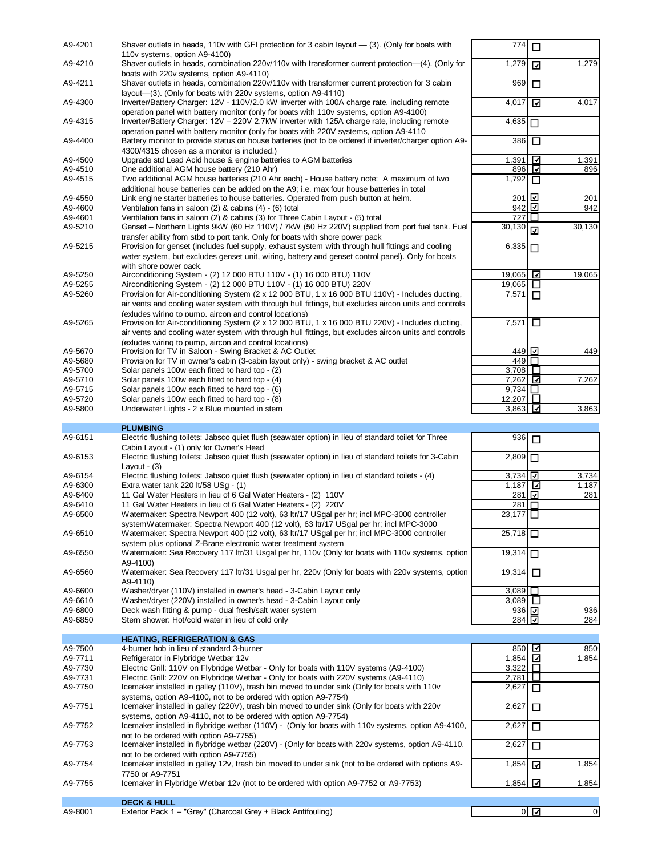| A9-4201 | Shaver outlets in heads, 110v with GFI protection for 3 cabin layout — (3). (Only for boats with                                           | 7741                      | □       |        |
|---------|--------------------------------------------------------------------------------------------------------------------------------------------|---------------------------|---------|--------|
|         | 110v systems, option A9-4100)                                                                                                              |                           |         |        |
| A9-4210 | Shaver outlets in heads, combination 220v/110v with transformer current protection—(4). (Only for                                          | 1,279                     | ⊡       | 1,279  |
| A9-4211 | boats with 220v systems, option A9-4110)<br>Shaver outlets in heads, combination 220v/110v with transformer current protection for 3 cabin | 969                       |         |        |
|         | layout-(3). (Only for boats with 220v systems, option A9-4110)                                                                             |                           | □       |        |
| A9-4300 | Inverter/Battery Charger: 12V - 110V/2.0 kW inverter with 100A charge rate, including remote                                               | 4,017                     | ⊡       | 4,017  |
|         | operation panel with battery monitor (only for boats with 110v systems, option A9-4100)                                                    |                           |         |        |
| A9-4315 | Inverter/Battery Charger: 12V - 220V 2.7kW inverter with 125A charge rate, including remote                                                | 4,635                     | □       |        |
|         | operation panel with battery monitor (only for boats with 220V systems, option A9-4110                                                     |                           |         |        |
| A9-4400 | Battery monitor to provide status on house batteries (not to be ordered if inverter/charger option A9-                                     | 386                       | Ō       |        |
|         | 4300/4315 chosen as a monitor is included.)                                                                                                |                           |         |        |
| A9-4500 | Upgrade std Lead Acid house & engine batteries to AGM batteries                                                                            | 1,391                     | ⊡       | 1,391  |
| A9-4510 | One additional AGM house battery (210 Ahr)                                                                                                 | 896                       | ⊡       | 896    |
| A9-4515 | Two additional AGM house batteries (210 Ahr each) - House battery note: A maximum of two                                                   | 1.792                     | □       |        |
|         | additional house batteries can be added on the A9: i.e. max four house batteries in total                                                  |                           |         |        |
| A9-4550 | Link engine starter batteries to house batteries. Operated from push button at helm.                                                       | 2011년                     |         | 201    |
| A9-4600 | Ventilation fans in saloon $(2)$ & cabins $(4)$ - $(6)$ total                                                                              | 942                       | ⊡       | 942    |
| A9-4601 | Ventilation fans in saloon (2) & cabins (3) for Three Cabin Layout - (5) total                                                             | 727                       | $\perp$ |        |
| A9-5210 | Genset – Northern Lights 9kW (60 Hz 110V) / 7kW (50 Hz 220V) supplied from port fuel tank. Fuel                                            | 30,130                    | 冈       | 30,130 |
|         | transfer ability from stbd to port tank. Only for boats with shore power pack                                                              |                           |         |        |
| A9-5215 | Provision for genset (includes fuel supply, exhaust system with through hull fittings and cooling                                          | 6,335                     | П       |        |
|         | water system, but excludes genset unit, wiring, battery and genset control panel). Only for boats                                          |                           |         |        |
|         | with shore power pack.                                                                                                                     |                           |         |        |
| A9-5250 | Airconditioning System - (2) 12 000 BTU 110V - (1) 16 000 BTU) 110V                                                                        | 19,065                    | ⊡       | 19,065 |
| A9-5255 | Airconditioning System - (2) 12 000 BTU 110V - (1) 16 000 BTU) 220V                                                                        | 19,065                    | ⊔       |        |
| A9-5260 | Provision for Air-conditioning System $(2 \times 12\,000\,\text{BTU}, 1 \times 16\,000\,\text{BTU}, 110\text{V})$ - Includes ducting,      | 7,571                     | п       |        |
|         | air vents and cooling water system with through hull fittings, but excludes aircon units and controls                                      |                           |         |        |
|         | (exludes wiring to pump. aircon and control locations)                                                                                     |                           |         |        |
| A9-5265 | Provision for Air-conditioning System (2 x 12 000 BTU, 1 x 16 000 BTU 220V) - Includes ducting,                                            | 7,571                     | □       |        |
|         | air vents and cooling water system with through hull fittings, but excludes aircon units and controls                                      |                           |         |        |
|         | (exludes wiring to pump, aircon and control locations)                                                                                     |                           |         |        |
| A9-5670 | Provision for TV in Saloon - Swing Bracket & AC Outlet                                                                                     | 449 ⊡                     |         | 449    |
|         | Provision for TV in owner's cabin (3-cabin layout only) - swing bracket & AC outlet                                                        | 449                       | П.      |        |
| A9-5680 |                                                                                                                                            | 3,708 $\Box$              |         |        |
| A9-5700 | Solar panels 100w each fitted to hard top - (2)                                                                                            |                           |         |        |
| A9-5710 | Solar panels 100w each fitted to hard top - (4)                                                                                            | $7,262$ $\boxed{2}$       |         | 7,262  |
| A9-5715 | Solar panels 100w each fitted to hard top - (6)                                                                                            | 9,734 $\square$           |         |        |
| A9-5720 | Solar panels 100w each fitted to hard top - (8)                                                                                            | 12,207 □                  |         |        |
| A9-5800 | Underwater Lights - 2 x Blue mounted in stern                                                                                              | 3,863                     | ⊡       | 3,863  |
|         |                                                                                                                                            |                           |         |        |
|         |                                                                                                                                            |                           |         |        |
|         | <b>PLUMBING</b>                                                                                                                            |                           |         |        |
| A9-6151 | Electric flushing toilets: Jabsco quiet flush (seawater option) in lieu of standard toilet for Three                                       | 936                       | $\Box$  |        |
|         | Cabin Layout - (1) only for Owner's Head                                                                                                   |                           |         |        |
| A9-6153 | Electric flushing toilets: Jabsco quiet flush (seawater option) in lieu of standard toilets for 3-Cabin                                    | $\overline{2,809}$ $\Box$ |         |        |
|         | Lavout - $(3)$                                                                                                                             |                           |         |        |
| A9-6154 | Electric flushing toilets: Jabsco quiet flush (seawater option) in lieu of standard toilets - (4)                                          | 3,734 $\vert$ 그           |         | 3,734  |
| A9-6300 | Extra water tank 220 lt/58 USg - (1)                                                                                                       | 1,187                     | ⊡       | 1,187  |
| A9-6400 | 11 Gal Water Heaters in lieu of 6 Gal Water Heaters - (2) 110V                                                                             | 281                       | ⊡       | 281    |
| A9-6410 | 11 Gal Water Heaters in lieu of 6 Gal Water Heaters - (2) 220V                                                                             | 281                       | П       |        |
| A9-6500 | Watermaker: Spectra Newport 400 (12 volt), 63 ltr/17 USgal per hr; incl MPC-3000 controller                                                | 23,177 □                  |         |        |
|         | systemWatermaker: Spectra Newport 400 (12 volt), 63 ltr/17 USgal per hr: incl MPC-3000                                                     |                           |         |        |
| A9-6510 | Watermaker: Spectra Newport 400 (12 volt), 63 ltr/17 USgal per hr; incl MPC-3000 controller                                                | 25,718                    |         |        |
|         | system plus optional Z-Brane electronic water treatment system                                                                             |                           |         |        |
| A9-6550 | Watermaker: Sea Recovery 117 ltr/31 Usgal per hr, 110v (Only for boats with 110v systems, option                                           | 19,314                    |         |        |
|         | A9-4100)                                                                                                                                   |                           |         |        |
| A9-6560 | Watermaker: Sea Recovery 117 ltr/31 Usgal per hr, 220v (Only for boats with 220v systems, option                                           | $19,314$ $\Box$           |         |        |
|         | A9-4110)                                                                                                                                   |                           |         |        |
| A9-6600 | Washer/dryer (110V) installed in owner's head - 3-Cabin Layout only                                                                        | $3,089$ $\Box$            |         |        |
| A9-6610 | Washer/dryer (220V) installed in owner's head - 3-Cabin Layout only                                                                        | $3,089$ $\Box$            |         |        |
| A9-6800 | Deck wash fitting & pump - dual fresh/salt water system                                                                                    | 936 ⊡                     |         | 936    |
| A9-6850 | Stern shower: Hot/cold water in lieu of cold only                                                                                          | 284 ⊡                     |         | 284    |
|         |                                                                                                                                            |                           |         |        |
|         | <b>HEATING, REFRIGERATION &amp; GAS</b>                                                                                                    |                           |         |        |
| A9-7500 | 4-burner hob in lieu of standard 3-burner                                                                                                  | 850 ⊡                     |         | 850    |
| A9-7711 | Refrigerator in Flybridge Wetbar 12v                                                                                                       | 1,854 $\Box$              |         | 1,854  |
| A9-7730 | Electric Grill: 110V on Flybridge Wetbar - Only for boats with 110V systems (A9-4100)                                                      | 3,322                     | O.      |        |
| A9-7731 | Electric Grill: 220V on Flybridge Wetbar - Only for boats with 220V systems (A9-4110)                                                      | 2,781                     | ப       |        |
| A9-7750 | Icemaker installed in galley (110V), trash bin moved to under sink (Only for boats with 110v                                               | 2,627                     | $\Box$  |        |
|         | systems, option A9-4100, not to be ordered with option A9-7754)                                                                            |                           |         |        |
| A9-7751 | Icemaker installed in galley (220V), trash bin moved to under sink (Only for boats with 220v                                               | 2,627                     | □       |        |
|         | systems, option A9-4110, not to be ordered with option A9-7754)                                                                            |                           |         |        |
| A9-7752 | Icemaker installed in flybridge wetbar (110V) - (Only for boats with 110v systems, option A9-4100,                                         | 2,627                     | □       |        |
|         | not to be ordered with option A9-7755)                                                                                                     |                           |         |        |
| A9-7753 | Icemaker installed in flybridge wetbar (220V) - (Only for boats with 220v systems, option A9-4110,                                         | 2,627                     | □       |        |
|         | not to be ordered with option A9-7755)                                                                                                     |                           |         |        |
| A9-7754 | Icemaker installed in galley 12v, trash bin moved to under sink (not to be ordered with options A9-                                        | 1,854                     | ☑       | 1,854  |
|         | 7750 or A9-7751                                                                                                                            |                           |         |        |
| A9-7755 | Icemaker in Flybridge Wetbar 12v (not to be ordered with option A9-7752 or A9-7753)                                                        | 1,854                     | ⊡       | 1,854  |
|         | <b>DECK &amp; HULL</b>                                                                                                                     |                           |         |        |

A9-8001 Exterior Pack 1 – "Grey" (Charcoal Grey + Black Antifouling) 0 | 그 | 0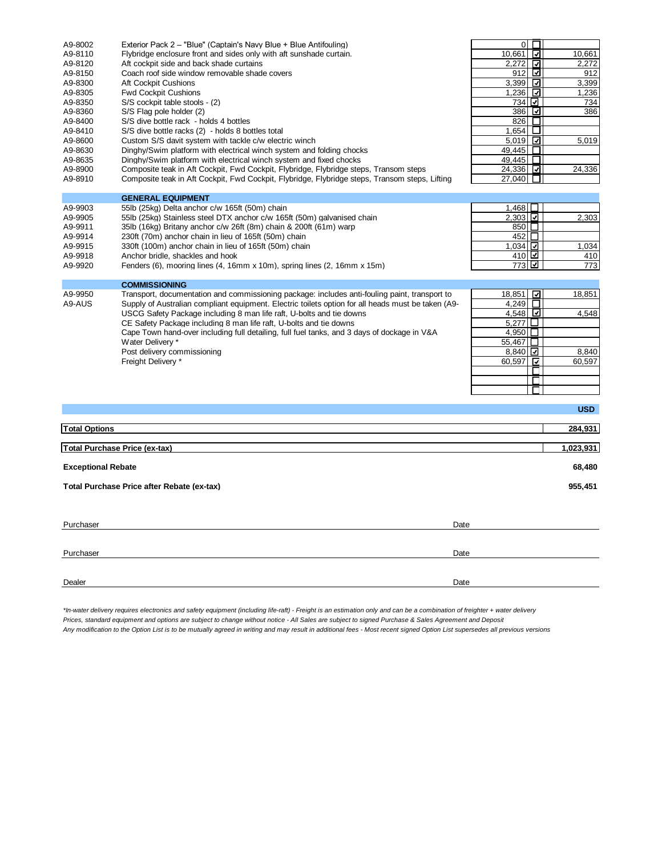| A9-8002                   | Exterior Pack 2 - "Blue" (Captain's Navy Blue + Blue Antifouling)                                  | $\overline{0}$<br>$\Box$                |            |
|---------------------------|----------------------------------------------------------------------------------------------------|-----------------------------------------|------------|
| A9-8110                   | Flybridge enclosure front and sides only with aft sunshade curtain.                                | ⊡<br>10,661                             | 10,661     |
| A9-8120                   | Aft cockpit side and back shade curtains                                                           | 2,272<br>⊡                              | 2,272      |
| A9-8150                   | Coach roof side window removable shade covers                                                      | ⊡<br>912                                | 912        |
| A9-8300                   | Aft Cockpit Cushions                                                                               | ☑<br>3,399                              | 3,399      |
| A9-8305                   | <b>Fwd Cockpit Cushions</b>                                                                        | ⊡<br>1,236                              | 1,236      |
| A9-8350                   | S/S cockpit table stools - (2)                                                                     | 734<br>⊡                                | 734        |
| A9-8360                   | S/S Flag pole holder (2)                                                                           | ⊡<br>386                                | 386        |
| A9-8400                   | S/S dive bottle rack - holds 4 bottles                                                             | 826<br>□                                |            |
| A9-8410                   | S/S dive bottle racks (2) - holds 8 bottles total                                                  | 1.654<br>ப                              |            |
| A9-8600                   | Custom S/S davit system with tackle c/w electric winch                                             | ⊡<br>5,019                              | 5,019      |
| A9-8630                   | Dinghy/Swim platform with electrical winch system and folding chocks                               | 49,445<br>□                             |            |
| A9-8635                   | Dinghy/Swim platform with electrical winch system and fixed chocks                                 | 49,445<br>$\Box$                        |            |
| A9-8900                   | Composite teak in Aft Cockpit, Fwd Cockpit, Flybridge, Flybridge steps, Transom steps              | 24,336 그                                | 24,336     |
| A9-8910                   | Composite teak in Aft Cockpit, Fwd Cockpit, Flybridge, Flybridge steps, Transom steps, Lifting     | 27,040 $\Box$                           |            |
|                           | <b>GENERAL EQUIPMENT</b>                                                                           |                                         |            |
| A9-9903                   | 55lb (25kg) Delta anchor c/w 165ft (50m) chain                                                     | 1,468 $\Box$                            |            |
| A9-9905                   | 55lb (25kg) Stainless steel DTX anchor c/w 165ft (50m) galvanised chain                            | $2,303$ $\boxed{2}$                     | 2,303      |
| A9-9911                   | 35lb (16kg) Britany anchor c/w 26ft (8m) chain & 200ft (61m) warp                                  | 850 囗                                   |            |
| A9-9914                   | 230ft (70m) anchor chain in lieu of 165ft (50m) chain                                              | 452 □                                   |            |
| A9-9915                   | 330ft (100m) anchor chain in lieu of 165ft (50m) chain                                             | 1.034 $\vert\overline{\mathbf{Q}}\vert$ | 1,034      |
| A9-9918                   | Anchor bridle, shackles and hook                                                                   | 410년                                    | 410        |
| A9-9920                   | Fenders (6), mooring lines (4, 16mm x 10m), spring lines (2, 16mm x 15m)                           | 7731년                                   | 773        |
|                           |                                                                                                    |                                         |            |
|                           | <b>COMMISSIONING</b>                                                                               |                                         |            |
| A9-9950                   | Transport, documentation and commissioning package: includes anti-fouling paint, transport to      | 18,851<br>⊡                             | 18,851     |
| A9-AUS                    | Supply of Australian compliant equipment. Electric toilets option for all heads must be taken (A9- | 4,249<br>$\Box$                         |            |
|                           | USCG Safety Package including 8 man life raft, U-bolts and tie downs                               | 4,548                                   | 4,548      |
|                           | CE Safety Package including 8 man life raft, U-bolts and tie downs                                 | $\Box$<br>5,277                         |            |
|                           | Cape Town hand-over including full detailing, full fuel tanks, and 3 days of dockage in V&A        | □<br>4,950                              |            |
|                           | Water Delivery *                                                                                   | 55,467<br>□                             |            |
|                           | Post delivery commissioning                                                                        | $8,840$ $\Box$                          | 8,840      |
|                           | Freight Delivery *                                                                                 | ⊡<br>60,597                             | 60,597     |
|                           |                                                                                                    | П                                       |            |
|                           |                                                                                                    | п                                       |            |
|                           |                                                                                                    |                                         |            |
|                           |                                                                                                    |                                         | <b>USD</b> |
| <b>Total Options</b>      |                                                                                                    |                                         | 284,931    |
|                           |                                                                                                    |                                         |            |
|                           | <b>Total Purchase Price (ex-tax)</b>                                                               |                                         | 1,023,931  |
| <b>Exceptional Rebate</b> |                                                                                                    |                                         | 68,480     |
|                           | Total Purchase Price after Rebate (ex-tax)                                                         |                                         | 955,451    |
|                           |                                                                                                    |                                         |            |
| Purchaser                 | Date                                                                                               |                                         |            |
|                           |                                                                                                    |                                         |            |
| Purchaser                 | Date                                                                                               |                                         |            |
|                           |                                                                                                    |                                         |            |

*\*In-water delivery requires electronics and safety equipment (including life-raft) - Freight is an estimation only and can be a combination of freighter + water delivery Prices, standard equipment and options are subject to change without notice - All Sales are subject to signed Purchase & Sales Agreement and Deposit Any modification to the Option List is to be mutually agreed in writing and may result in additional fees - Most recent signed Option List supersedes all previous versions*

Dealer **Dealer** Date of the Communication of the Communication of the Communication of the Communication of the Communication of the Communication of the Communication of the Communication of the Communication of the Commu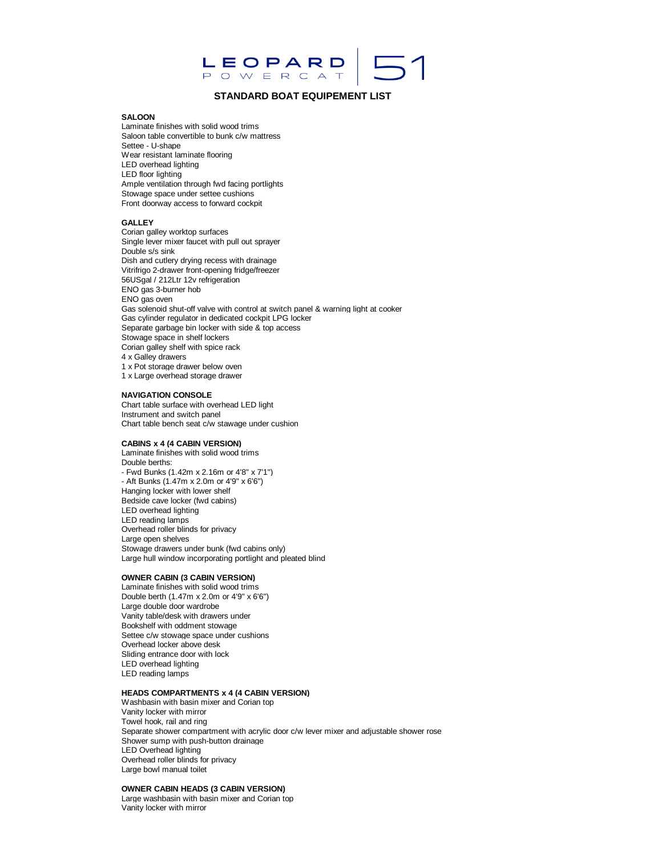

# **STANDARD BOAT EQUIPEMENT LIST**

## **SALOON**

Laminate finishes with solid wood trims Saloon table convertible to bunk c/w mattress Settee - U-shape Wear resistant laminate flooring LED overhead lighting LED floor lighting Ample ventilation through fwd facing portlights Stowage space under settee cushions Front doorway access to forward cockpit

## **GALLEY**

Corian galley worktop surfaces Single lever mixer faucet with pull out sprayer Double s/s sink Dish and cutlery drying recess with drainage Vitrifrigo 2-drawer front-opening fridge/freezer 56USgal / 212Ltr 12v refrigeration ENO gas 3-burner hob ENO gas oven Gas solenoid shut-off valve with control at switch panel & warning light at cooker Gas cylinder regulator in dedicated cockpit LPG locker Separate garbage bin locker with side & top access Stowage space in shelf lockers Corian galley shelf with spice rack 4 x Galley drawers 1 x Pot storage drawer below oven 1 x Large overhead storage drawer

#### **NAVIGATION CONSOLE**

Chart table surface with overhead LED light Instrument and switch panel Chart table bench seat c/w stawage under cushion

# **CABINS x 4 (4 CABIN VERSION)**

Laminate finishes with solid wood trims Double berths: - Fwd Bunks (1.42m x 2.16m or 4'8" x 7'1") - Aft Bunks (1.47m x 2.0m or 4'9" x 6'6") Hanging locker with lower shelf Bedside cave locker (fwd cabins) LED overhead lighting LED reading lamps Overhead roller blinds for privacy Large open shelves Stowage drawers under bunk (fwd cabins only) Large hull window incorporating portlight and pleated blind

# **OWNER CABIN (3 CABIN VERSION)**

Laminate finishes with solid wood trims Double berth (1.47m x 2.0m or 4'9" x 6'6") Large double door wardrobe Vanity table/desk with drawers under Bookshelf with oddment stowage Settee c/w stowage space under cushions Overhead locker above desk Sliding entrance door with lock LED overhead lighting LED reading lamps

## **HEADS COMPARTMENTS x 4 (4 CABIN VERSION)**

Washbasin with basin mixer and Corian top Vanity locker with mirror Towel hook, rail and ring Separate shower compartment with acrylic door c/w lever mixer and adjustable shower rose Shower sump with push-button drainage LED Overhead lighting Overhead roller blinds for privacy Large bowl manual toilet

#### **OWNER CABIN HEADS (3 CABIN VERSION)**

Large washbasin with basin mixer and Corian top Vanity locker with mirror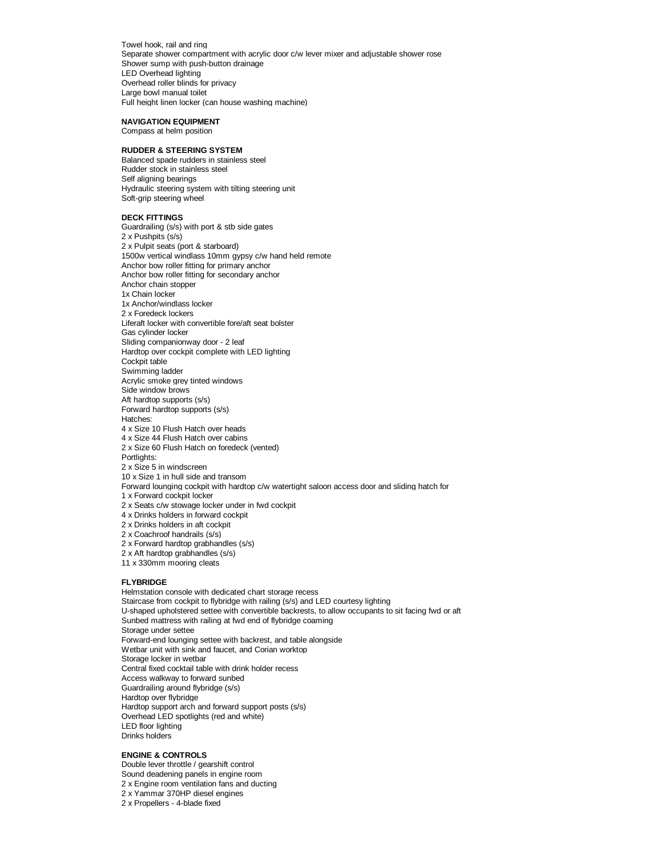Towel hook, rail and ring Separate shower compartment with acrylic door c/w lever mixer and adjustable shower rose Shower sump with push-button drainage LED Overhead lighting Overhead roller blinds for privacy Large bowl manual toilet Full height linen locker (can house washing machine)

### **NAVIGATION EQUIPMENT**

Compass at helm position

# **RUDDER & STEERING SYSTEM**

Balanced spade rudders in stainless steel Rudder stock in stainless steel Self aligning bearings Hydraulic steering system with tilting steering unit Soft-grip steering wheel

## **DECK FITTINGS**

Guardrailing (s/s) with port & stb side gates 2 x Pushpits (s/s) 2 x Pulpit seats (port & starboard) 1500w vertical windlass 10mm gypsy c/w hand held remote Anchor bow roller fitting for primary anchor Anchor bow roller fitting for secondary anchor Anchor chain stopper 1x Chain locker 1x Anchor/windlass locker 2 x Foredeck lockers Liferaft locker with convertible fore/aft seat bolster Gas cylinder locker Sliding companionway door - 2 leaf Hardtop over cockpit complete with LED lighting Cockpit table Swimming ladder Acrylic smoke grey tinted windows Side window brows Aft hardtop supports (s/s) Forward hardtop supports (s/s) Hatches: 4 x Size 10 Flush Hatch over heads 4 x Size 44 Flush Hatch over cabins 2 x Size 60 Flush Hatch on foredeck (vented) Portlights: 2 x Size 5 in windscreen 10 x Size 1 in hull side and transom Forward lounging cockpit with hardtop c/w watertight saloon access door and sliding hatch for 1 x Forward cockpit locker 2 x Seats c/w stowage locker under in fwd cockpit 4 x Drinks holders in forward cockpit 2 x Drinks holders in aft cockpit 2 x Coachroof handrails (s/s) 2 x Forward hardtop grabhandles (s/s) 2 x Aft hardtop grabhandles (s/s) 11 x 330mm mooring cleats **FLYBRIDGE**

Helmstation console with dedicated chart storage recess Staircase from cockpit to flybridge with railing (s/s) and LED courtesy lighting U-shaped upholstered settee with convertible backrests, to allow occupants to sit facing fwd or aft Sunbed mattress with railing at fwd end of flybridge coaming Storage under settee Forward-end lounging settee with backrest, and table alongside Wetbar unit with sink and faucet, and Corian worktop Storage locker in wetbar Central fixed cocktail table with drink holder recess Access walkway to forward sunbed Guardrailing around flybridge (s/s) Hardtop over flybridge Hardtop support arch and forward support posts (s/s) Overhead LED spotlights (red and white) LED floor lighting Drinks holders

## **ENGINE & CONTROLS**

Double lever throttle / gearshift control Sound deadening panels in engine room 2 x Engine room ventilation fans and ducting

2 x Yammar 370HP diesel engines

2 x Propellers - 4-blade fixed